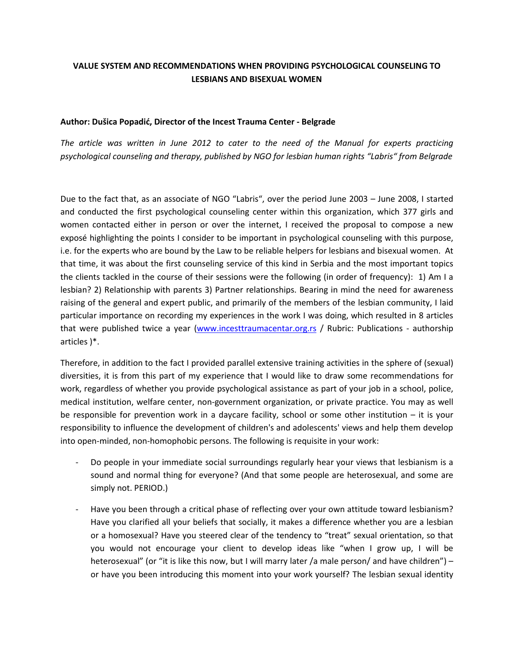## **VALUE SYSTEM AND RECOMMENDATIONS WHEN PROVIDING PSYCHOLOGICAL COUNSELING TO LESBIANS AND BISEXUAL WOMEN**

## **Author: Dušica Popadić, Director of the Incest Trauma Center - Belgrade**

*The article was written in June 2012 to cater to the need of the Manual for experts practicing psychological counseling and therapy, published by NGO for lesbian human rights "Labris" from Belgrade*

Due to the fact that, as an associate of NGO "Labris", over the period June 2003 – June 2008, I started and conducted the first psychological counseling center within this organization, which 377 girls and women contacted either in person or over the internet, I received the proposal to compose a new exposé highlighting the points I consider to be important in psychological counseling with this purpose, i.e. for the experts who are bound by the Law to be reliable helpers for lesbians and bisexual women. At that time, it was about the first counseling service of this kind in Serbia and the most important topics the clients tackled in the course of their sessions were the following (in order of frequency): 1) Am I a lesbian? 2) Relationship with parents 3) Partner relationships. Bearing in mind the need for awareness raising of the general and expert public, and primarily of the members of the lesbian community, I laid particular importance on recording my experiences in the work I was doing, which resulted in 8 articles that were published twice a year [\(www.incesttraumacentar.org.rs](http://www.incesttraumacentar.org.rs/) / Rubric: Publications - authorship articles )\*.

Therefore, in addition to the fact I provided parallel extensive training activities in the sphere of (sexual) diversities, it is from this part of my experience that I would like to draw some recommendations for work, regardless of whether you provide psychological assistance as part of your job in a school, police, medical institution, welfare center, non-government organization, or private practice. You may as well be responsible for prevention work in a daycare facility, school or some other institution – it is your responsibility to influence the development of children's and adolescents' views and help them develop into open-minded, non-homophobic persons. The following is requisite in your work:

- Do people in your immediate social surroundings regularly hear your views that lesbianism is a sound and normal thing for everyone? (And that some people are heterosexual, and some are simply not. PERIOD.)
- Have you been through a critical phase of reflecting over your own attitude toward lesbianism? Have you clarified all your beliefs that socially, it makes a difference whether you are a lesbian or a homosexual? Have you steered clear of the tendency to "treat" sexual orientation, so that you would not encourage your client to develop ideas like "when I grow up, I will be heterosexual" (or "it is like this now, but I will marry later /a male person/ and have children") or have you been introducing this moment into your work yourself? The lesbian sexual identity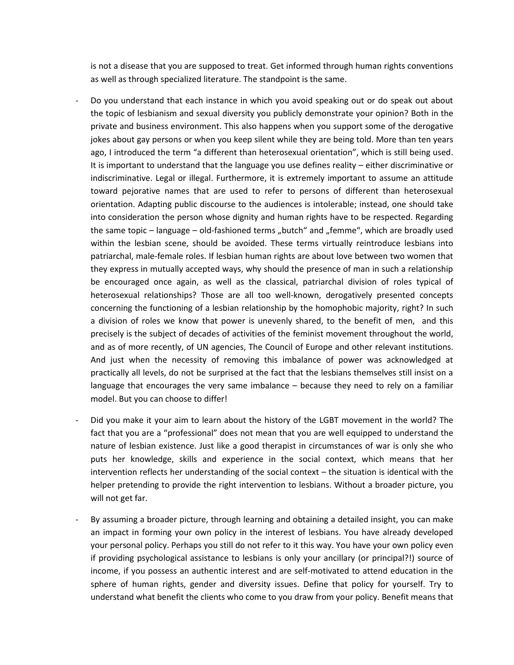is not a disease that you are supposed to treat. Get informed through human rights conventions as well as through specialized literature. The standpoint is the same.

- Do you understand that each instance in which you avoid speaking out or do speak out about the topic of lesbianism and sexual diversity you publicly demonstrate your opinion? Both in the private and business environment. This also happens when you support some of the derogative jokes about gay persons or when you keep silent while they are being told. More than ten years ago, I introduced the term "a different than heterosexual orientation", which is still being used. It is important to understand that the language you use defines reality – either discriminative or indiscriminative. Legal or illegal. Furthermore, it is extremely important to assume an attitude toward pejorative names that are used to refer to persons of different than heterosexual orientation. Adapting public discourse to the audiences is intolerable; instead, one should take into consideration the person whose dignity and human rights have to be respected. Regarding the same topic – language – old-fashioned terms "butch" and "femme", which are broadly used within the lesbian scene, should be avoided. These terms virtually reintroduce lesbians into patriarchal, male-female roles. If lesbian human rights are about love between two women that they express in mutually accepted ways, why should the presence of man in such a relationship be encouraged once again, as well as the classical, patriarchal division of roles typical of heterosexual relationships? Those are all too well-known, derogatively presented concepts concerning the functioning of a lesbian relationship by the homophobic majority, right? In such a division of roles we know that power is unevenly shared, to the benefit of men, and this precisely is the subject of decades of activities of the feminist movement throughout the world, and as of more recently, of UN agencies, The Council of Europe and other relevant institutions. And just when the necessity of removing this imbalance of power was acknowledged at practically all levels, do not be surprised at the fact that the lesbians themselves still insist on a language that encourages the very same imbalance – because they need to rely on a familiar model. But you can choose to differ!
- Did you make it your aim to learn about the history of the LGBT movement in the world? The fact that you are a "professional" does not mean that you are well equipped to understand the nature of lesbian existence. Just like a good therapist in circumstances of war is only she who puts her knowledge, skills and experience in the social context, which means that her intervention reflects her understanding of the social context – the situation is identical with the helper pretending to provide the right intervention to lesbians. Without a broader picture, you will not get far.
- By assuming a broader picture, through learning and obtaining a detailed insight, you can make an impact in forming your own policy in the interest of lesbians. You have already developed your personal policy. Perhaps you still do not refer to it this way. You have your own policy even if providing psychological assistance to lesbians is only your ancillary (or principal?!) source of income, if you possess an authentic interest and are self-motivated to attend education in the sphere of human rights, gender and diversity issues. Define that policy for yourself. Try to understand what benefit the clients who come to you draw from your policy. Benefit means that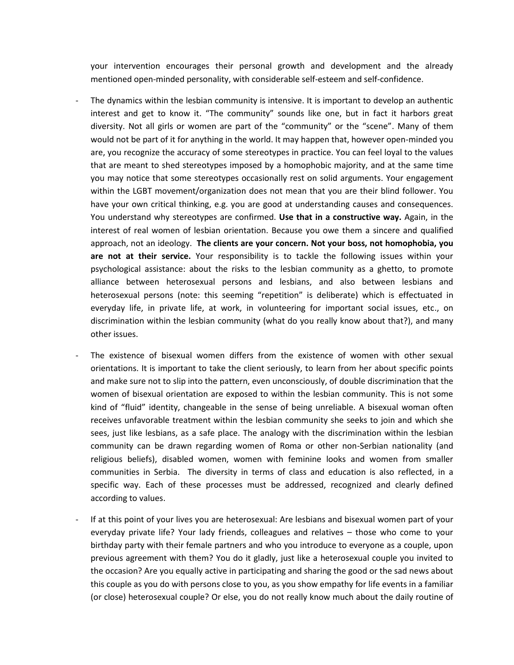your intervention encourages their personal growth and development and the already mentioned open-minded personality, with considerable self-esteem and self-confidence.

- The dynamics within the lesbian community is intensive. It is important to develop an authentic interest and get to know it. "The community" sounds like one, but in fact it harbors great diversity. Not all girls or women are part of the "community" or the "scene". Many of them would not be part of it for anything in the world. It may happen that, however open-minded you are, you recognize the accuracy of some stereotypes in practice. You can feel loyal to the values that are meant to shed stereotypes imposed by a homophobic majority, and at the same time you may notice that some stereotypes occasionally rest on solid arguments. Your engagement within the LGBT movement/organization does not mean that you are their blind follower. You have your own critical thinking, e.g. you are good at understanding causes and consequences. You understand why stereotypes are confirmed. **Use that in a constructive way.** Again, in the interest of real women of lesbian orientation. Because you owe them a sincere and qualified approach, not an ideology. **The clients are your concern. Not your boss, not homophobia, you are not at their service.** Your responsibility is to tackle the following issues within your psychological assistance: about the risks to the lesbian community as a ghetto, to promote alliance between heterosexual persons and lesbians, and also between lesbians and heterosexual persons (note: this seeming "repetition" is deliberate) which is effectuated in everyday life, in private life, at work, in volunteering for important social issues, etc., on discrimination within the lesbian community (what do you really know about that?), and many other issues.
- The existence of bisexual women differs from the existence of women with other sexual orientations. It is important to take the client seriously, to learn from her about specific points and make sure not to slip into the pattern, even unconsciously, of double discrimination that the women of bisexual orientation are exposed to within the lesbian community. This is not some kind of "fluid" identity, changeable in the sense of being unreliable. A bisexual woman often receives unfavorable treatment within the lesbian community she seeks to join and which she sees, just like lesbians, as a safe place. The analogy with the discrimination within the lesbian community can be drawn regarding women of Roma or other non-Serbian nationality (and religious beliefs), disabled women, women with feminine looks and women from smaller communities in Serbia. The diversity in terms of class and education is also reflected, in a specific way. Each of these processes must be addressed, recognized and clearly defined according to values.
- If at this point of your lives you are heterosexual: Are lesbians and bisexual women part of your everyday private life? Your lady friends, colleagues and relatives – those who come to your birthday party with their female partners and who you introduce to everyone as a couple, upon previous agreement with them? You do it gladly, just like a heterosexual couple you invited to the occasion? Are you equally active in participating and sharing the good or the sad news about this couple as you do with persons close to you, as you show empathy for life events in a familiar (or close) heterosexual couple? Or else, you do not really know much about the daily routine of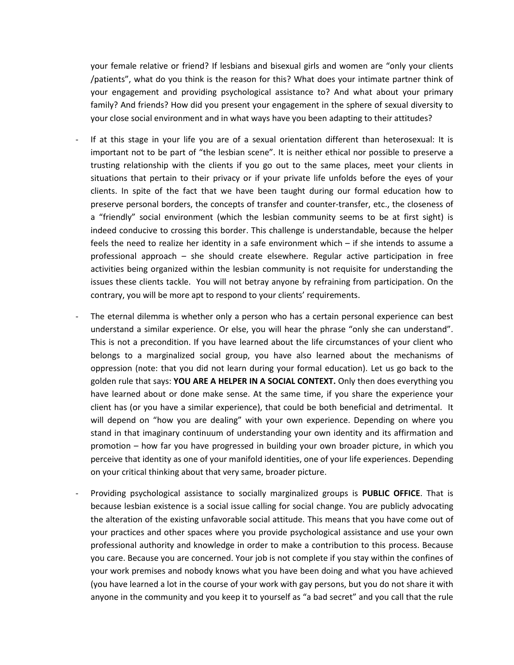your female relative or friend? If lesbians and bisexual girls and women are "only your clients /patients", what do you think is the reason for this? What does your intimate partner think of your engagement and providing psychological assistance to? And what about your primary family? And friends? How did you present your engagement in the sphere of sexual diversity to your close social environment and in what ways have you been adapting to their attitudes?

- If at this stage in your life you are of a sexual orientation different than heterosexual: It is important not to be part of "the lesbian scene". It is neither ethical nor possible to preserve a trusting relationship with the clients if you go out to the same places, meet your clients in situations that pertain to their privacy or if your private life unfolds before the eyes of your clients. In spite of the fact that we have been taught during our formal education how to preserve personal borders, the concepts of transfer and counter-transfer, etc., the closeness of a "friendly" social environment (which the lesbian community seems to be at first sight) is indeed conducive to crossing this border. This challenge is understandable, because the helper feels the need to realize her identity in a safe environment which – if she intends to assume a professional approach – she should create elsewhere. Regular active participation in free activities being organized within the lesbian community is not requisite for understanding the issues these clients tackle. You will not betray anyone by refraining from participation. On the contrary, you will be more apt to respond to your clients' requirements.
- The eternal dilemma is whether only a person who has a certain personal experience can best understand a similar experience. Or else, you will hear the phrase "only she can understand". This is not a precondition. If you have learned about the life circumstances of your client who belongs to a marginalized social group, you have also learned about the mechanisms of oppression (note: that you did not learn during your formal education). Let us go back to the golden rule that says: **YOU ARE A HELPER IN A SOCIAL CONTEXT.** Only then does everything you have learned about or done make sense. At the same time, if you share the experience your client has (or you have a similar experience), that could be both beneficial and detrimental. It will depend on "how you are dealing" with your own experience. Depending on where you stand in that imaginary continuum of understanding your own identity and its affirmation and promotion – how far you have progressed in building your own broader picture, in which you perceive that identity as one of your manifold identities, one of your life experiences. Depending on your critical thinking about that very same, broader picture.
- Providing psychological assistance to socially marginalized groups is **PUBLIC OFFICE**. That is because lesbian existence is a social issue calling for social change. You are publicly advocating the alteration of the existing unfavorable social attitude. This means that you have come out of your practices and other spaces where you provide psychological assistance and use your own professional authority and knowledge in order to make a contribution to this process. Because you care. Because you are concerned. Your job is not complete if you stay within the confines of your work premises and nobody knows what you have been doing and what you have achieved (you have learned a lot in the course of your work with gay persons, but you do not share it with anyone in the community and you keep it to yourself as "a bad secret" and you call that the rule